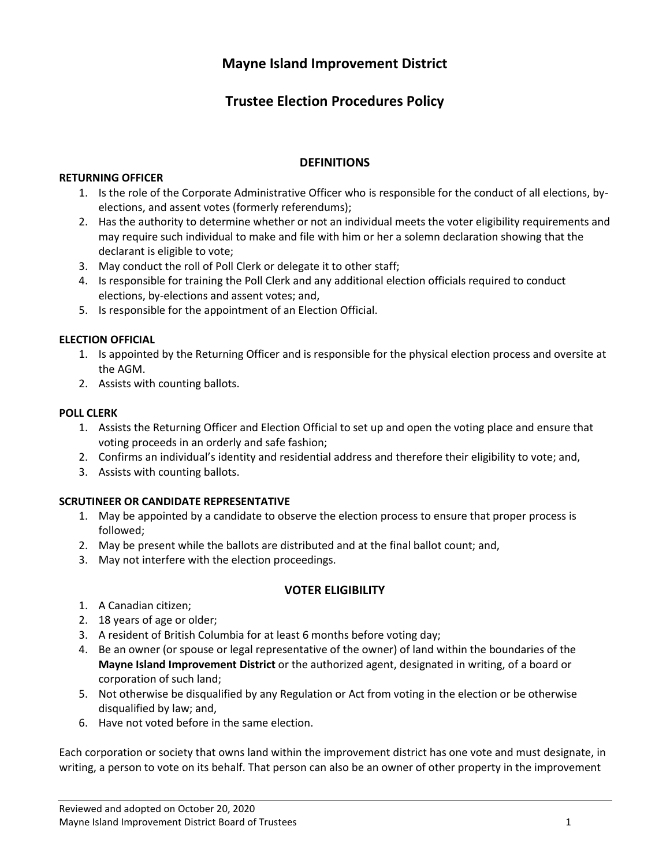# **Mayne Island Improvement District**

# **Trustee Election Procedures Policy**

#### **DEFINITIONS**

#### **RETURNING OFFICER**

- 1. Is the role of the Corporate Administrative Officer who is responsible for the conduct of all elections, byelections, and assent votes (formerly referendums);
- 2. Has the authority to determine whether or not an individual meets the voter eligibility requirements and may require such individual to make and file with him or her a solemn declaration showing that the declarant is eligible to vote;
- 3. May conduct the roll of Poll Clerk or delegate it to other staff;
- 4. Is responsible for training the Poll Clerk and any additional election officials required to conduct elections, by-elections and assent votes; and,
- 5. Is responsible for the appointment of an Election Official.

#### **ELECTION OFFICIAL**

- 1. Is appointed by the Returning Officer and is responsible for the physical election process and oversite at the AGM.
- 2. Assists with counting ballots.

#### **POLL CLERK**

- 1. Assists the Returning Officer and Election Official to set up and open the voting place and ensure that voting proceeds in an orderly and safe fashion;
- 2. Confirms an individual's identity and residential address and therefore their eligibility to vote; and,
- 3. Assists with counting ballots.

#### **SCRUTINEER OR CANDIDATE REPRESENTATIVE**

- 1. May be appointed by a candidate to observe the election process to ensure that proper process is followed;
- 2. May be present while the ballots are distributed and at the final ballot count; and,
- 3. May not interfere with the election proceedings.

### **VOTER ELIGIBILITY**

- 1. A Canadian citizen;
- 2. 18 years of age or older;
- 3. A resident of British Columbia for at least 6 months before voting day;
- 4. Be an owner (or spouse or legal representative of the owner) of land within the boundaries of the **Mayne Island Improvement District** or the authorized agent, designated in writing, of a board or corporation of such land;
- 5. Not otherwise be disqualified by any Regulation or Act from voting in the election or be otherwise disqualified by law; and,
- 6. Have not voted before in the same election.

Each corporation or society that owns land within the improvement district has one vote and must designate, in writing, a person to vote on its behalf. That person can also be an owner of other property in the improvement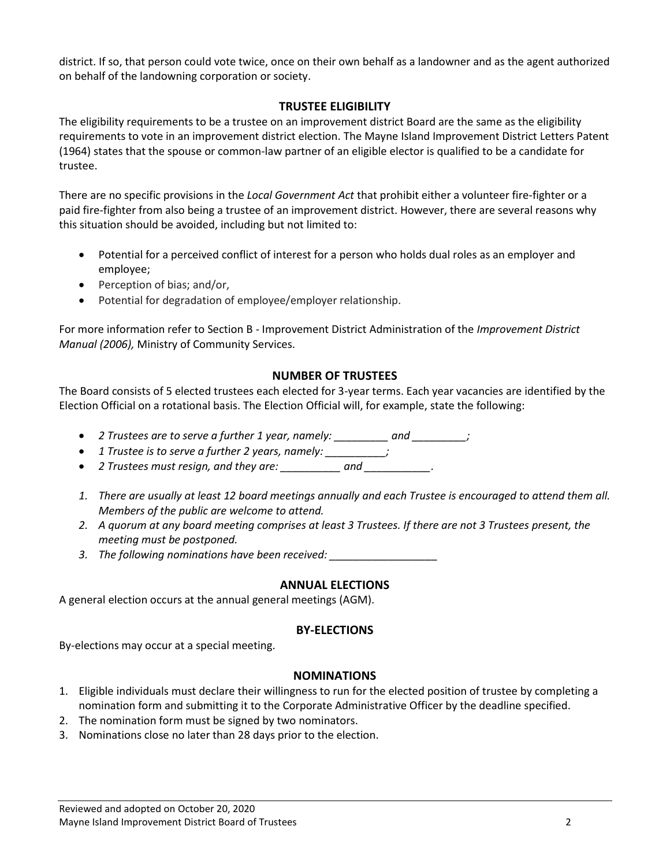district. If so, that person could vote twice, once on their own behalf as a landowner and as the agent authorized on behalf of the landowning corporation or society.

### **TRUSTEE ELIGIBILITY**

The eligibility requirements to be a trustee on an improvement district Board are the same as the eligibility requirements to vote in an improvement district election. The Mayne Island Improvement District Letters Patent (1964) states that the spouse or common-law partner of an eligible elector is qualified to be a candidate for trustee.

There are no specific provisions in the *Local Government Act* that prohibit either a volunteer fire-fighter or a paid fire-fighter from also being a trustee of an improvement district. However, there are several reasons why this situation should be avoided, including but not limited to:

- Potential for a perceived conflict of interest for a person who holds dual roles as an employer and employee;
- Perception of bias; and/or,
- Potential for degradation of employee/employer relationship.

For more information refer to Section B - Improvement District Administration of the *Improvement District Manual (2006),* Ministry of Community Services.

## **NUMBER OF TRUSTEES**

The Board consists of 5 elected trustees each elected for 3-year terms. Each year vacancies are identified by the Election Official on a rotational basis. The Election Official will, for example, state the following:

- *2 Trustees are to serve a further 1 year, namely: \_\_\_\_\_\_\_\_\_ and \_\_\_\_\_\_\_\_\_;*
- *1 Trustee is to serve a further 2 years, namely: \_\_\_\_\_\_\_\_\_\_;*
- *2 Trustees must resign, and they are: \_\_\_\_\_\_\_\_\_\_ and \_\_\_\_\_\_\_\_\_\_\_.*
- *1. There are usually at least 12 board meetings annually and each Trustee is encouraged to attend them all. Members of the public are welcome to attend.*
- *2. A quorum at any board meeting comprises at least 3 Trustees. If there are not 3 Trustees present, the meeting must be postponed.*
- *3. The following nominations have been received: \_\_\_\_\_\_\_\_\_\_\_\_\_\_\_\_\_\_*

## **ANNUAL ELECTIONS**

A general election occurs at the annual general meetings (AGM).

## **BY-ELECTIONS**

By-elections may occur at a special meeting.

### **NOMINATIONS**

- 1. Eligible individuals must declare their willingness to run for the elected position of trustee by completing a nomination form and submitting it to the Corporate Administrative Officer by the deadline specified.
- 2. The nomination form must be signed by two nominators.
- 3. Nominations close no later than 28 days prior to the election.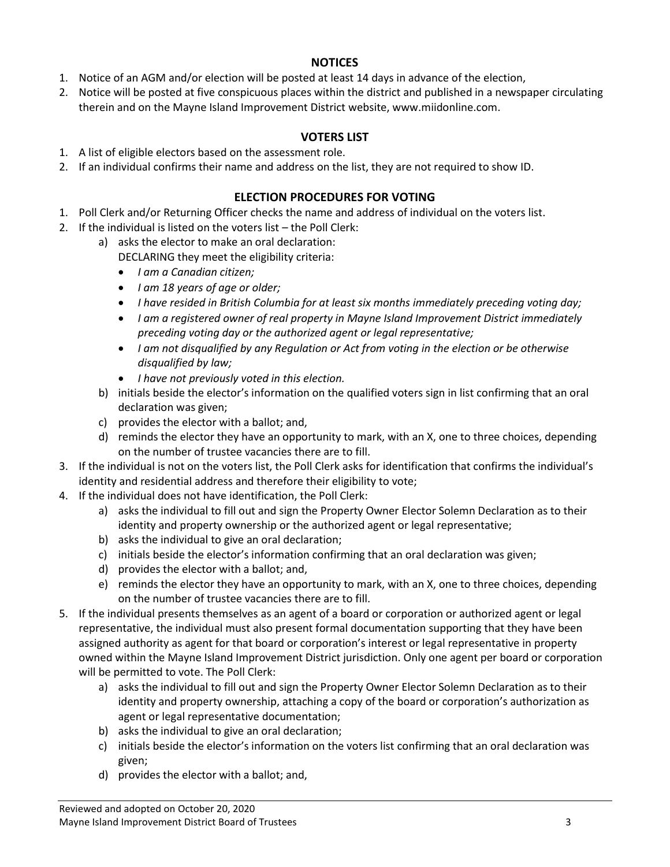## **NOTICES**

- 1. Notice of an AGM and/or election will be posted at least 14 days in advance of the election,
- 2. Notice will be posted at five conspicuous places within the district and published in a newspaper circulating therein and on the Mayne Island Improvement District website, www.miidonline.com.

## **VOTERS LIST**

- 1. A list of eligible electors based on the assessment role.
- 2. If an individual confirms their name and address on the list, they are not required to show ID.

## **ELECTION PROCEDURES FOR VOTING**

- 1. Poll Clerk and/or Returning Officer checks the name and address of individual on the voters list.
- 2. If the individual is listed on the voters list the Poll Clerk:
	- a) asks the elector to make an oral declaration:

DECLARING they meet the eligibility criteria:

- *I am a Canadian citizen;*
- *I am 18 years of age or older;*
- *I have resided in British Columbia for at least six months immediately preceding voting day;*
- *I am a registered owner of real property in Mayne Island Improvement District immediately preceding voting day or the authorized agent or legal representative;*
- *I am not disqualified by any Regulation or Act from voting in the election or be otherwise disqualified by law;*
- *I have not previously voted in this election.*
- b) initials beside the elector's information on the qualified voters sign in list confirming that an oral declaration was given;
- c) provides the elector with a ballot; and,
- d) reminds the elector they have an opportunity to mark, with an X, one to three choices, depending on the number of trustee vacancies there are to fill.
- 3. If the individual is not on the voters list, the Poll Clerk asks for identification that confirms the individual's identity and residential address and therefore their eligibility to vote;
- 4. If the individual does not have identification, the Poll Clerk:
	- a) asks the individual to fill out and sign the Property Owner Elector Solemn Declaration as to their identity and property ownership or the authorized agent or legal representative;
	- b) asks the individual to give an oral declaration;
	- c) initials beside the elector's information confirming that an oral declaration was given;
	- d) provides the elector with a ballot; and,
	- e) reminds the elector they have an opportunity to mark, with an X, one to three choices, depending on the number of trustee vacancies there are to fill.
- 5. If the individual presents themselves as an agent of a board or corporation or authorized agent or legal representative, the individual must also present formal documentation supporting that they have been assigned authority as agent for that board or corporation's interest or legal representative in property owned within the Mayne Island Improvement District jurisdiction. Only one agent per board or corporation will be permitted to vote. The Poll Clerk:
	- a) asks the individual to fill out and sign the Property Owner Elector Solemn Declaration as to their identity and property ownership, attaching a copy of the board or corporation's authorization as agent or legal representative documentation;
	- b) asks the individual to give an oral declaration;
	- c) initials beside the elector's information on the voters list confirming that an oral declaration was given;
	- d) provides the elector with a ballot; and,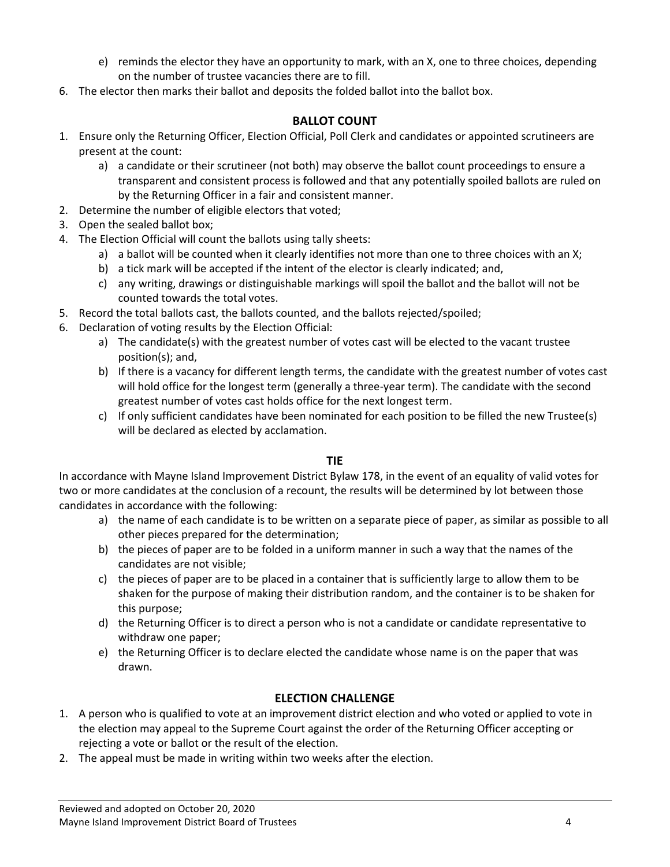- e) reminds the elector they have an opportunity to mark, with an X, one to three choices, depending on the number of trustee vacancies there are to fill.
- 6. The elector then marks their ballot and deposits the folded ballot into the ballot box.

## **BALLOT COUNT**

- 1. Ensure only the Returning Officer, Election Official, Poll Clerk and candidates or appointed scrutineers are present at the count:
	- a) a candidate or their scrutineer (not both) may observe the ballot count proceedings to ensure a transparent and consistent process is followed and that any potentially spoiled ballots are ruled on by the Returning Officer in a fair and consistent manner.
- 2. Determine the number of eligible electors that voted;
- 3. Open the sealed ballot box;
- 4. The Election Official will count the ballots using tally sheets:
	- a) a ballot will be counted when it clearly identifies not more than one to three choices with an X;
	- b) a tick mark will be accepted if the intent of the elector is clearly indicated; and,
	- c) any writing, drawings or distinguishable markings will spoil the ballot and the ballot will not be counted towards the total votes.
- 5. Record the total ballots cast, the ballots counted, and the ballots rejected/spoiled;
- 6. Declaration of voting results by the Election Official:
	- a) The candidate(s) with the greatest number of votes cast will be elected to the vacant trustee position(s); and,
	- b) If there is a vacancy for different length terms, the candidate with the greatest number of votes cast will hold office for the longest term (generally a three-year term). The candidate with the second greatest number of votes cast holds office for the next longest term.
	- c) If only sufficient candidates have been nominated for each position to be filled the new Trustee(s) will be declared as elected by acclamation.

### **TIE**

In accordance with Mayne Island Improvement District Bylaw 178, in the event of an equality of valid votes for two or more candidates at the conclusion of a recount, the results will be determined by lot between those candidates in accordance with the following:

- a) the name of each candidate is to be written on a separate piece of paper, as similar as possible to all other pieces prepared for the determination;
- b) the pieces of paper are to be folded in a uniform manner in such a way that the names of the candidates are not visible;
- c) the pieces of paper are to be placed in a container that is sufficiently large to allow them to be shaken for the purpose of making their distribution random, and the container is to be shaken for this purpose;
- d) the Returning Officer is to direct a person who is not a candidate or candidate representative to withdraw one paper;
- e) the Returning Officer is to declare elected the candidate whose name is on the paper that was drawn.

### **ELECTION CHALLENGE**

- 1. A person who is qualified to vote at an improvement district election and who voted or applied to vote in the election may appeal to the Supreme Court against the order of the Returning Officer accepting or rejecting a vote or ballot or the result of the election.
- 2. The appeal must be made in writing within two weeks after the election.